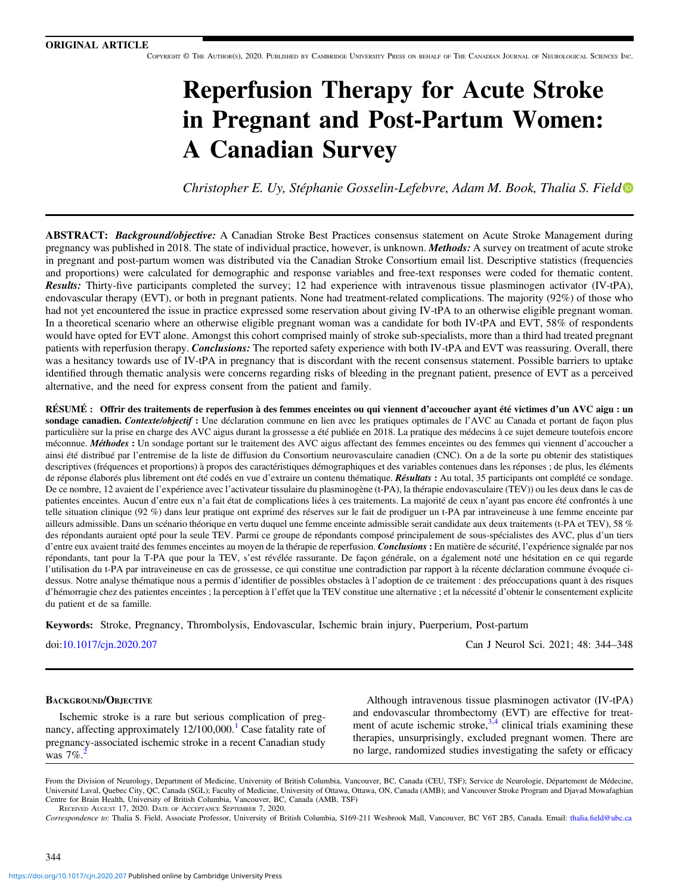COPYRIGHT © THE AUTHOR(S), 2020. PUBLISHED BY CAMBRIDGE UNIVERSITY PRESS ON BEHALF OF THE CANADIAN JOURNAL OF NEUROLOGICAL SCIENCES INC.

# Reperfusion Therapy for Acute Stroke in Pregnant and Post-Partum Women: A Canadian Survey

Christopher E. Uy, Stéphanie Gosselin-Lefebvre, Adam M. Book, Thalia S. Field

ABSTRACT: Background/objective: A Canadian Stroke Best Practices consensus statement on Acute Stroke Management during pregnancy was published in 2018. The state of individual practice, however, is unknown. *Methods:* A survey on treatment of acute stroke in pregnant and post-partum women was distributed via the Canadian Stroke Consortium email list. Descriptive statistics (frequencies and proportions) were calculated for demographic and response variables and free-text responses were coded for thematic content. Results: Thirty-five participants completed the survey; 12 had experience with intravenous tissue plasminogen activator (IV-tPA), endovascular therapy (EVT), or both in pregnant patients. None had treatment-related complications. The majority (92%) of those who had not yet encountered the issue in practice expressed some reservation about giving IV-tPA to an otherwise eligible pregnant woman. In a theoretical scenario where an otherwise eligible pregnant woman was a candidate for both IV-tPA and EVT, 58% of respondents would have opted for EVT alone. Amongst this cohort comprised mainly of stroke sub-specialists, more than a third had treated pregnant patients with reperfusion therapy. Conclusions: The reported safety experience with both IV-tPA and EVT was reassuring. Overall, there was a hesitancy towards use of IV-tPA in pregnancy that is discordant with the recent consensus statement. Possible barriers to uptake identified through thematic analysis were concerns regarding risks of bleeding in the pregnant patient, presence of EVT as a perceived alternative, and the need for express consent from the patient and family.

RÉSUMÉ : Offrir des traitements de reperfusion à des femmes enceintes ou qui viennent d'accoucher ayant été victimes d'un AVC aigu : un sondage canadien. Contexte/objectif : Une déclaration commune en lien avec les pratiques optimales de l'AVC au Canada et portant de façon plus particulière sur la prise en charge des AVC aigus durant la grossesse a été publiée en 2018. La pratique des médecins à ce sujet demeure toutefois encore méconnue. Méthodes : Un sondage portant sur le traitement des AVC aigus affectant des femmes enceintes ou des femmes qui viennent d'accoucher a ainsi été distribué par l'entremise de la liste de diffusion du Consortium neurovasculaire canadien (CNC). On a de la sorte pu obtenir des statistiques descriptives (fréquences et proportions) à propos des caractéristiques démographiques et des variables contenues dans les réponses ; de plus, les éléments de réponse élaborés plus librement ont été codés en vue d'extraire un contenu thématique. Résultats : Au total, 35 participants ont complété ce sondage. De ce nombre, 12 avaient de l'expérience avec l'activateur tissulaire du plasminogène (t-PA), la thérapie endovasculaire (TEV)) ou les deux dans le cas de patientes enceintes. Aucun d'entre eux n'a fait état de complications liées à ces traitements. La majorité de ceux n'ayant pas encore été confrontés à une telle situation clinique (92 %) dans leur pratique ont exprimé des réserves sur le fait de prodiguer un t-PA par intraveineuse à une femme enceinte par ailleurs admissible. Dans un scénario théorique en vertu duquel une femme enceinte admissible serait candidate aux deux traitements (t-PA et TEV), 58 % des répondants auraient opté pour la seule TEV. Parmi ce groupe de répondants composé principalement de sous-spécialistes des AVC, plus d'un tiers d'entre eux avaient traité des femmes enceintes au moyen de la thérapie de reperfusion. Conclusions : En matière de sécurité, l'expérience signalée par nos répondants, tant pour la T-PA que pour la TEV, s'est révélée rassurante. De façon générale, on a également noté une hésitation en ce qui regarde l'utilisation du t-PA par intraveineuse en cas de grossesse, ce qui constitue une contradiction par rapport à la récente déclaration commune évoquée cidessus. Notre analyse thématique nous a permis d'identifier de possibles obstacles à l'adoption de ce traitement : des préoccupations quant à des risques d'hémorragie chez des patientes enceintes ; la perception à l'effet que la TEV constitue une alternative ; et la nécessité d'obtenir le consentement explicite du patient et de sa famille.

Keywords: Stroke, Pregnancy, Thrombolysis, Endovascular, Ischemic brain injury, Puerperium, Post-partum

doi:[10.1017/cjn.2020.207](https://doi.org/10.1017/cjn.2020.207) Can J Neurol Sci. 2021; 48: 344–348

#### BACKGROUND/OBJECTIVE

Ischemic stroke is a rare but serious complication of pregnancy, affecting approximately  $12/100,000$  $12/100,000$ .<sup>1</sup> Case fatality rate of pregnancy-associated ischemic stroke in a recent Canadian study was  $7\%$ .

Although intravenous tissue plasminogen activator (IV-tPA) and endovascular thrombectomy (EVT) are effective for treatment of acute ischemic stroke,  $3,4$  clinical trials examining these therapies, unsurprisingly, excluded pregnant women. There are no large, randomized studies investigating the safety or efficacy

From the Division of Neurology, Department of Medicine, University of British Columbia, Vancouver, BC, Canada (CEU, TSF); Service de Neurologie, Département de Médecine, Université Laval, Quebec City, QC, Canada (SGL); Faculty of Medicine, University of Ottawa, Ottawa, ON, Canada (AMB); and Vancouver Stroke Program and Djavad Mowafaghian Centre for Brain Health, University of British Columbia, Vancouver, BC, Canada (AMB, TSF) RECEIVED AUGUST 17, 2020. DATE OF ACCEPTANCE SEPTEMBER 7, 2020.

Correspondence to: Thalia S. Field, Associate Professor, University of British Columbia, S169-211 Wesbrook Mall, Vancouver, BC V6T 2B5, Canada. Email: thalia.fi[eld@ubc.ca](mailto:thalia.field@ubc.ca)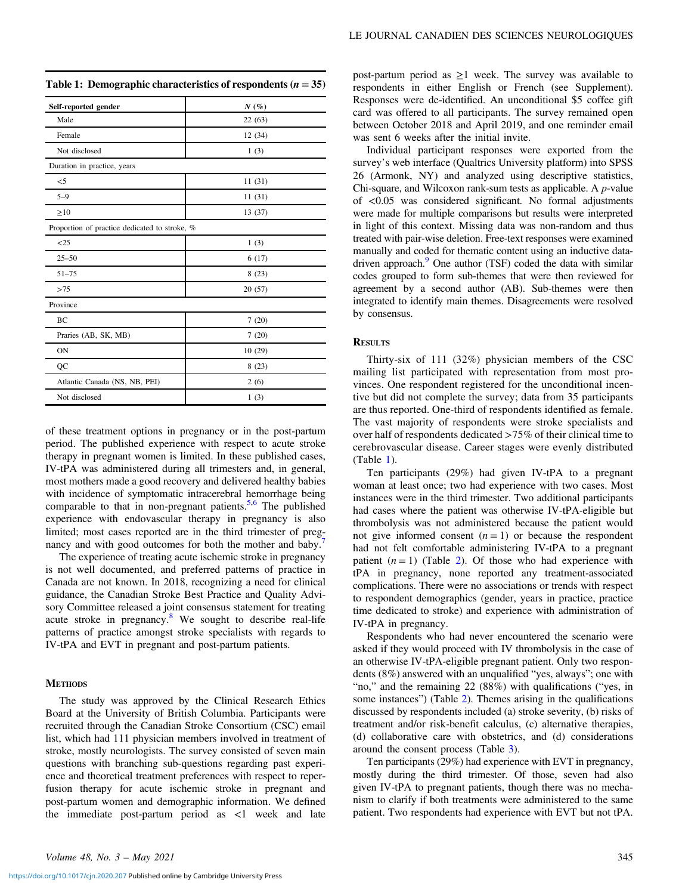|  |  |  | Table 1: Demographic characteristics of respondents $(n = 35)$ |  |
|--|--|--|----------------------------------------------------------------|--|
|--|--|--|----------------------------------------------------------------|--|

| Self-reported gender                          | $N(\%)$ |  |  |  |
|-----------------------------------------------|---------|--|--|--|
| Male                                          | 22(63)  |  |  |  |
| Female                                        | 12(34)  |  |  |  |
| Not disclosed                                 | 1(3)    |  |  |  |
| Duration in practice, years                   |         |  |  |  |
| $<$ 5                                         | 11(31)  |  |  |  |
| $5 - 9$                                       | 11(31)  |  |  |  |
| $\geq 10$                                     | 13 (37) |  |  |  |
| Proportion of practice dedicated to stroke, % |         |  |  |  |
| <25                                           | 1(3)    |  |  |  |
| $25 - 50$                                     | 6(17)   |  |  |  |
| $51 - 75$                                     | 8(23)   |  |  |  |
| >75                                           | 20(57)  |  |  |  |
| Province                                      |         |  |  |  |
| BC                                            | 7(20)   |  |  |  |
| Praries (AB, SK, MB)                          | 7(20)   |  |  |  |
| ON                                            | 10(29)  |  |  |  |
| QC                                            | 8(23)   |  |  |  |
| Atlantic Canada (NS, NB, PEI)                 | 2(6)    |  |  |  |
| Not disclosed                                 | 1(3)    |  |  |  |

of these treatment options in pregnancy or in the post-partum period. The published experience with respect to acute stroke therapy in pregnant women is limited. In these published cases, IV-tPA was administered during all trimesters and, in general, most mothers made a good recovery and delivered healthy babies with incidence of symptomatic intracerebral hemorrhage being comparable to that in non-pregnant patients.<sup>[5,6](#page-4-0)</sup> The published experience with endovascular therapy in pregnancy is also limited; most cases reported are in the third trimester of preg-nancy and with good outcomes for both the mother and baby.<sup>[7](#page-4-0)</sup>

The experience of treating acute ischemic stroke in pregnancy is not well documented, and preferred patterns of practice in Canada are not known. In 2018, recognizing a need for clinical guidance, the Canadian Stroke Best Practice and Quality Advisory Committee released a joint consensus statement for treating acute stroke in pregnancy.[8](#page-4-0) We sought to describe real-life patterns of practice amongst stroke specialists with regards to IV-tPA and EVT in pregnant and post-partum patients.

## **METHODS**

The study was approved by the Clinical Research Ethics Board at the University of British Columbia. Participants were recruited through the Canadian Stroke Consortium (CSC) email list, which had 111 physician members involved in treatment of stroke, mostly neurologists. The survey consisted of seven main questions with branching sub-questions regarding past experience and theoretical treatment preferences with respect to reperfusion therapy for acute ischemic stroke in pregnant and post-partum women and demographic information. We defined the immediate post-partum period as  $\lt 1$  week and late

post-partum period as  $\geq 1$  week. The survey was available to respondents in either English or French (see Supplement). Responses were de-identified. An unconditional \$5 coffee gift card was offered to all participants. The survey remained open between October 2018 and April 2019, and one reminder email was sent 6 weeks after the initial invite.

Individual participant responses were exported from the survey's web interface (Qualtrics University platform) into SPSS 26 (Armonk, NY) and analyzed using descriptive statistics, Chi-square, and Wilcoxon rank-sum tests as applicable. A p-value of <0.05 was considered significant. No formal adjustments were made for multiple comparisons but results were interpreted in light of this context. Missing data was non-random and thus treated with pair-wise deletion. Free-text responses were examined manually and coded for thematic content using an inductive datadriven approach.<sup>9</sup> One author (TSF) coded the data with similar codes grouped to form sub-themes that were then reviewed for agreement by a second author (AB). Sub-themes were then integrated to identify main themes. Disagreements were resolved by consensus.

## **RESULTS**

Thirty-six of 111 (32%) physician members of the CSC mailing list participated with representation from most provinces. One respondent registered for the unconditional incentive but did not complete the survey; data from 35 participants are thus reported. One-third of respondents identified as female. The vast majority of respondents were stroke specialists and over half of respondents dedicated >75% of their clinical time to cerebrovascular disease. Career stages were evenly distributed (Table 1).

Ten participants (29%) had given IV-tPA to a pregnant woman at least once; two had experience with two cases. Most instances were in the third trimester. Two additional participants had cases where the patient was otherwise IV-tPA-eligible but thrombolysis was not administered because the patient would not give informed consent  $(n = 1)$  or because the respondent had not felt comfortable administering IV-tPA to a pregnant patient  $(n = 1)$  (Table [2\)](#page-2-0). Of those who had experience with tPA in pregnancy, none reported any treatment-associated complications. There were no associations or trends with respect to respondent demographics (gender, years in practice, practice time dedicated to stroke) and experience with administration of IV-tPA in pregnancy.

Respondents who had never encountered the scenario were asked if they would proceed with IV thrombolysis in the case of an otherwise IV-tPA-eligible pregnant patient. Only two respondents (8%) answered with an unqualified "yes, always"; one with "no," and the remaining 22 (88%) with qualifications ("yes, in some instances") (Table [2\)](#page-2-0). Themes arising in the qualifications discussed by respondents included (a) stroke severity, (b) risks of treatment and/or risk-benefit calculus, (c) alternative therapies, (d) collaborative care with obstetrics, and (d) considerations around the consent process (Table [3\)](#page-2-0).

Ten participants (29%) had experience with EVT in pregnancy, mostly during the third trimester. Of those, seven had also given IV-tPA to pregnant patients, though there was no mechanism to clarify if both treatments were administered to the same patient. Two respondents had experience with EVT but not tPA.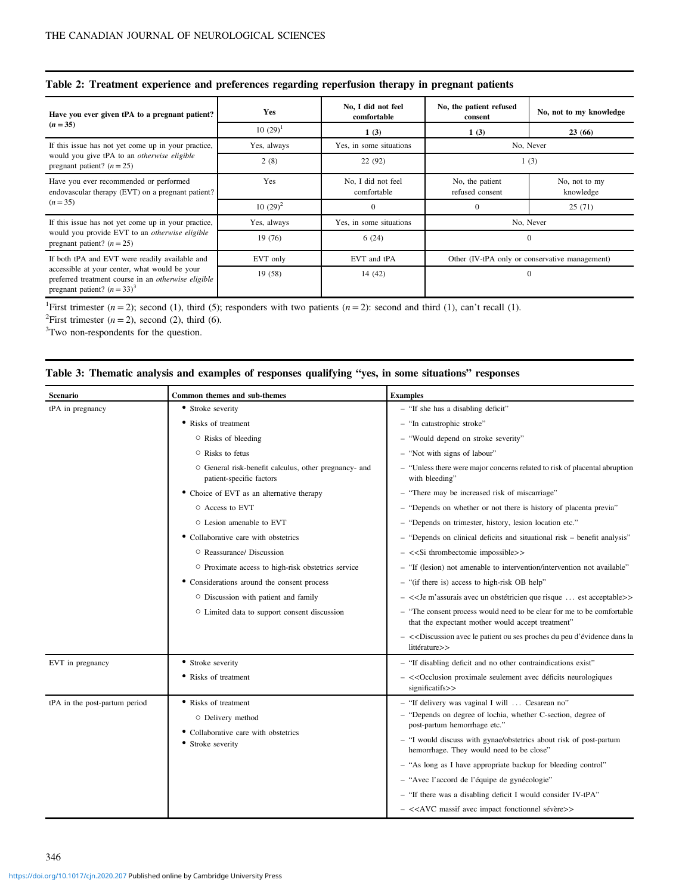<span id="page-2-0"></span>

|  |  |  |  | Table 2: Treatment experience and preferences regarding reperfusion therapy in pregnant patients |  |  |  |  |  |
|--|--|--|--|--------------------------------------------------------------------------------------------------|--|--|--|--|--|
|--|--|--|--|--------------------------------------------------------------------------------------------------|--|--|--|--|--|

| Have you ever given tPA to a pregnant patient?                                                                                                | Yes         | No, I did not feel<br>comfortable | No, the patient refused<br>consent             | No, not to my knowledge    |
|-----------------------------------------------------------------------------------------------------------------------------------------------|-------------|-----------------------------------|------------------------------------------------|----------------------------|
| $(n=35)$                                                                                                                                      | $10(29)^1$  | 1(3)                              | 1(3)                                           | 23(66)                     |
| If this issue has not yet come up in your practice,                                                                                           | Yes, always | Yes, in some situations           | No, Never                                      |                            |
| would you give tPA to an <i>otherwise eligible</i><br>pregnant patient? $(n = 25)$                                                            | 2(8)        | 22(92)                            | 1(3)                                           |                            |
| Have you ever recommended or performed<br>endovascular therapy (EVT) on a pregnant patient?                                                   | Yes         | No, I did not feel<br>comfortable | No, the patient<br>refused consent             | No, not to my<br>knowledge |
| $(n=35)$                                                                                                                                      | $10(29)^2$  | $\Omega$                          | $\theta$                                       | 25(71)                     |
| If this issue has not yet come up in your practice,                                                                                           | Yes, always | Yes, in some situations           | No, Never                                      |                            |
| would you provide EVT to an otherwise eligible<br>pregnant patient? $(n = 25)$                                                                | 19 (76)     | 6(24)                             | $\theta$                                       |                            |
| If both tPA and EVT were readily available and                                                                                                | EVT only    | EVT and tPA                       | Other (IV-tPA only or conservative management) |                            |
| accessible at your center, what would be your<br>preferred treatment course in an <i>otherwise eligible</i><br>pregnant patient? $(n = 33)^3$ | 19(58)      | 14 (42)                           | $\theta$                                       |                            |

<sup>1</sup>First trimester  $(n = 2)$ ; second (1), third (5); responders with two patients  $(n = 2)$ : second and third (1), can't recall (1).

<sup>2</sup>First trimester  $(n = 2)$ , second (2), third (6).

<sup>3</sup>Two non-respondents for the question.

## Table 3: Thematic analysis and examples of responses qualifying "yes, in some situations" responses

| Scenario                      | Common themes and sub-themes                                                                           | <b>Examples</b>                                                                                                                                                                                                                                                                                                                    |  |  |
|-------------------------------|--------------------------------------------------------------------------------------------------------|------------------------------------------------------------------------------------------------------------------------------------------------------------------------------------------------------------------------------------------------------------------------------------------------------------------------------------|--|--|
| tPA in pregnancy              | • Stroke severity                                                                                      | - "If she has a disabling deficit"                                                                                                                                                                                                                                                                                                 |  |  |
|                               | • Risks of treatment                                                                                   | - "In catastrophic stroke"                                                                                                                                                                                                                                                                                                         |  |  |
|                               | ○ Risks of bleeding                                                                                    | - "Would depend on stroke severity"                                                                                                                                                                                                                                                                                                |  |  |
|                               | $\circ$ Risks to fetus                                                                                 | - "Not with signs of labour"                                                                                                                                                                                                                                                                                                       |  |  |
|                               | ○ General risk-benefit calculus, other pregnancy- and<br>patient-specific factors                      | - "Unless there were major concerns related to risk of placental abruption<br>with bleeding"                                                                                                                                                                                                                                       |  |  |
|                               | • Choice of EVT as an alternative therapy                                                              | - "There may be increased risk of miscarriage"                                                                                                                                                                                                                                                                                     |  |  |
|                               | ○ Access to EVT                                                                                        | - "Depends on whether or not there is history of placenta previa"                                                                                                                                                                                                                                                                  |  |  |
|                               | $\circ$ Lesion amenable to EVT                                                                         | - "Depends on trimester, history, lesion location etc."                                                                                                                                                                                                                                                                            |  |  |
|                               | • Collaborative care with obstetrics                                                                   | - "Depends on clinical deficits and situational risk - benefit analysis"                                                                                                                                                                                                                                                           |  |  |
|                               | ○ Reassurance/ Discussion                                                                              | $-$ < <si impossible="" thrombectomic="">&gt;</si>                                                                                                                                                                                                                                                                                 |  |  |
|                               | ○ Proximate access to high-risk obstetrics service                                                     | - "If (lesion) not amenable to intervention/intervention not available"                                                                                                                                                                                                                                                            |  |  |
|                               | • Considerations around the consent process                                                            | - "(if there is) access to high-risk OB help"                                                                                                                                                                                                                                                                                      |  |  |
|                               | O Discussion with patient and family                                                                   | - << Je m'assurais avec un obstétricien que risque  est acceptable >>                                                                                                                                                                                                                                                              |  |  |
|                               | O Limited data to support consent discussion                                                           | - "The consent process would need to be clear for me to be comfortable<br>that the expectant mother would accept treatment"                                                                                                                                                                                                        |  |  |
|                               |                                                                                                        | - << Discussion avec le patient ou ses proches du peu d'évidence dans la<br>littérature>>                                                                                                                                                                                                                                          |  |  |
| EVT in pregnancy              | • Stroke severity                                                                                      | - "If disabling deficit and no other contraindications exist"                                                                                                                                                                                                                                                                      |  |  |
|                               | • Risks of treatment                                                                                   | $-$ << Occlusion proximale seulement avec déficits neurologiques<br>significatifs>>                                                                                                                                                                                                                                                |  |  |
| tPA in the post-partum period | • Risks of treatment<br>○ Delivery method<br>• Collaborative care with obstetrics<br>• Stroke severity | - "If delivery was vaginal I will  Cesarean no"<br>- "Depends on degree of lochia, whether C-section, degree of<br>post-partum hemorrhage etc."<br>- "I would discuss with gynae/obstetrics about risk of post-partum<br>hemorrhage. They would need to be close"<br>- "As long as I have appropriate backup for bleeding control" |  |  |
|                               |                                                                                                        | - "Avec l'accord de l'équipe de gynécologie"                                                                                                                                                                                                                                                                                       |  |  |
|                               |                                                                                                        | - "If there was a disabling deficit I would consider IV-tPA"                                                                                                                                                                                                                                                                       |  |  |
|                               |                                                                                                        | $-$ < <avc avec="" fonctionnel="" impact="" massif="" sévère="">&gt;</avc>                                                                                                                                                                                                                                                         |  |  |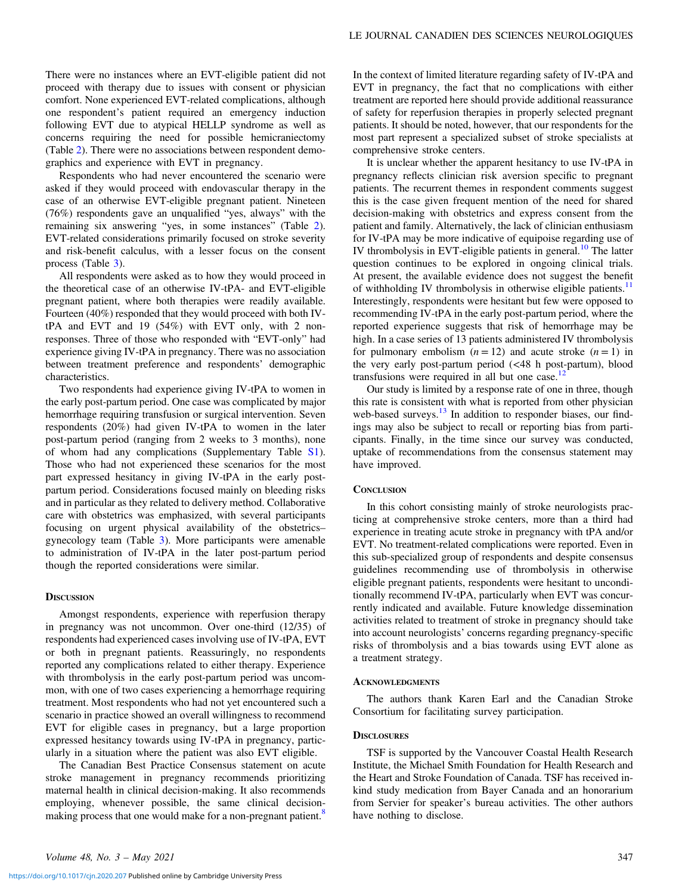There were no instances where an EVT-eligible patient did not proceed with therapy due to issues with consent or physician comfort. None experienced EVT-related complications, although one respondent's patient required an emergency induction following EVT due to atypical HELLP syndrome as well as concerns requiring the need for possible hemicraniectomy (Table [2](#page-2-0)). There were no associations between respondent demographics and experience with EVT in pregnancy.

Respondents who had never encountered the scenario were asked if they would proceed with endovascular therapy in the case of an otherwise EVT-eligible pregnant patient. Nineteen (76%) respondents gave an unqualified "yes, always" with the remaining six answering "yes, in some instances" (Table [2\)](#page-2-0). EVT-related considerations primarily focused on stroke severity and risk-benefit calculus, with a lesser focus on the consent process (Table [3](#page-2-0)).

All respondents were asked as to how they would proceed in the theoretical case of an otherwise IV-tPA- and EVT-eligible pregnant patient, where both therapies were readily available. Fourteen (40%) responded that they would proceed with both IVtPA and EVT and 19 (54%) with EVT only, with 2 nonresponses. Three of those who responded with "EVT-only" had experience giving IV-tPA in pregnancy. There was no association between treatment preference and respondents' demographic characteristics.

Two respondents had experience giving IV-tPA to women in the early post-partum period. One case was complicated by major hemorrhage requiring transfusion or surgical intervention. Seven respondents (20%) had given IV-tPA to women in the later post-partum period (ranging from 2 weeks to 3 months), none of whom had any complications (Supplementary Table [S1\)](https://doi.org/10.1017/cjn.2020.207). Those who had not experienced these scenarios for the most part expressed hesitancy in giving IV-tPA in the early postpartum period. Considerations focused mainly on bleeding risks and in particular as they related to delivery method. Collaborative care with obstetrics was emphasized, with several participants focusing on urgent physical availability of the obstetrics– gynecology team (Table [3](#page-2-0)). More participants were amenable to administration of IV-tPA in the later post-partum period though the reported considerations were similar.

## **DISCUSSION**

Amongst respondents, experience with reperfusion therapy in pregnancy was not uncommon. Over one-third (12/35) of respondents had experienced cases involving use of IV-tPA, EVT or both in pregnant patients. Reassuringly, no respondents reported any complications related to either therapy. Experience with thrombolysis in the early post-partum period was uncommon, with one of two cases experiencing a hemorrhage requiring treatment. Most respondents who had not yet encountered such a scenario in practice showed an overall willingness to recommend EVT for eligible cases in pregnancy, but a large proportion expressed hesitancy towards using IV-tPA in pregnancy, particularly in a situation where the patient was also EVT eligible.

The Canadian Best Practice Consensus statement on acute stroke management in pregnancy recommends prioritizing maternal health in clinical decision-making. It also recommends employing, whenever possible, the same clinical decisionmaking process that one would make for a non-pregnant patient.<sup>8</sup>

In the context of limited literature regarding safety of IV-tPA and EVT in pregnancy, the fact that no complications with either treatment are reported here should provide additional reassurance of safety for reperfusion therapies in properly selected pregnant patients. It should be noted, however, that our respondents for the most part represent a specialized subset of stroke specialists at comprehensive stroke centers.

It is unclear whether the apparent hesitancy to use IV-tPA in pregnancy reflects clinician risk aversion specific to pregnant patients. The recurrent themes in respondent comments suggest this is the case given frequent mention of the need for shared decision-making with obstetrics and express consent from the patient and family. Alternatively, the lack of clinician enthusiasm for IV-tPA may be more indicative of equipoise regarding use of IV thrombolysis in EVT-eligible patients in general. $10$  The latter question continues to be explored in ongoing clinical trials. At present, the available evidence does not suggest the benefit of withholding IV thrombolysis in otherwise eligible patients.<sup>[11](#page-4-0)</sup> Interestingly, respondents were hesitant but few were opposed to recommending IV-tPA in the early post-partum period, where the reported experience suggests that risk of hemorrhage may be high. In a case series of 13 patients administered IV thrombolysis for pulmonary embolism  $(n = 12)$  and acute stroke  $(n = 1)$  in the very early post-partum period (<48 h post-partum), blood transfusions were required in all but one case. $<sup>1</sup>$ </sup>

Our study is limited by a response rate of one in three, though this rate is consistent with what is reported from other physician web-based surveys. $^{13}$  $^{13}$  $^{13}$  In addition to responder biases, our findings may also be subject to recall or reporting bias from participants. Finally, in the time since our survey was conducted, uptake of recommendations from the consensus statement may have improved.

## **CONCLUSION**

In this cohort consisting mainly of stroke neurologists practicing at comprehensive stroke centers, more than a third had experience in treating acute stroke in pregnancy with tPA and/or EVT. No treatment-related complications were reported. Even in this sub-specialized group of respondents and despite consensus guidelines recommending use of thrombolysis in otherwise eligible pregnant patients, respondents were hesitant to unconditionally recommend IV-tPA, particularly when EVT was concurrently indicated and available. Future knowledge dissemination activities related to treatment of stroke in pregnancy should take into account neurologists' concerns regarding pregnancy-specific risks of thrombolysis and a bias towards using EVT alone as a treatment strategy.

## ACKNOWLEDGMENTS

The authors thank Karen Earl and the Canadian Stroke Consortium for facilitating survey participation.

## **DISCLOSURES**

TSF is supported by the Vancouver Coastal Health Research Institute, the Michael Smith Foundation for Health Research and the Heart and Stroke Foundation of Canada. TSF has received inkind study medication from Bayer Canada and an honorarium from Servier for speaker's bureau activities. The other authors have nothing to disclose.